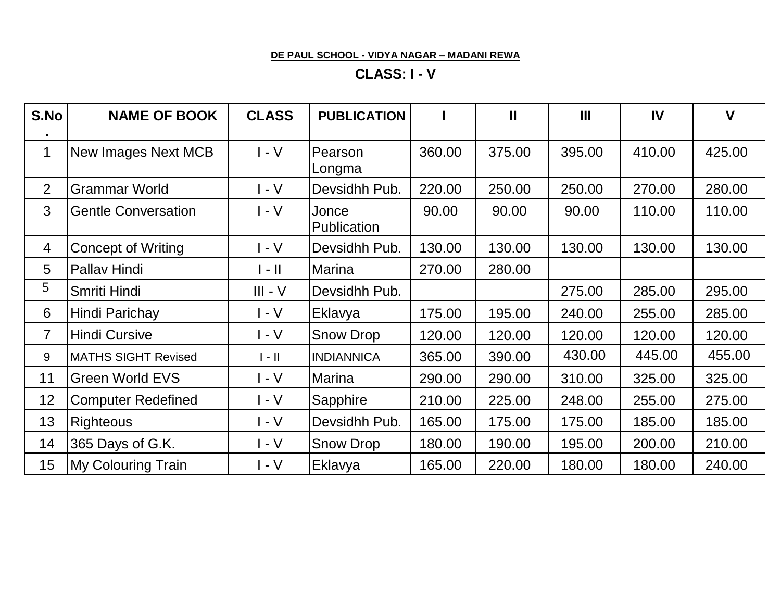#### **DE PAUL SCHOOL - VIDYA NAGAR – MADANI REWA**

# **CLASS: I - V**

| S.No           | <b>NAME OF BOOK</b>        | <b>CLASS</b>                | <b>PUBLICATION</b>   |        | $\mathbf{I}$ | $\mathbf{m}$ | IV     | $\mathbf v$ |
|----------------|----------------------------|-----------------------------|----------------------|--------|--------------|--------------|--------|-------------|
| $\mathbf{1}$   | New Images Next MCB        | $I - V$                     | Pearson<br>Longma    | 360.00 | 375.00       | 395.00       | 410.00 | 425.00      |
| 2              | <b>Grammar World</b>       | $I - V$                     | Devsidhh Pub.        | 220.00 | 250.00       | 250.00       | 270.00 | 280.00      |
| 3              | <b>Gentle Conversation</b> | $I - V$                     | Jonce<br>Publication | 90.00  | 90.00        | 90.00        | 110.00 | 110.00      |
| 4              | <b>Concept of Writing</b>  | $-V$                        | Devsidhh Pub.        | 130.00 | 130.00       | 130.00       | 130.00 | 130.00      |
| 5              | Pallav Hindi               | $\parallel$ - $\parallel$   | <b>Marina</b>        | 270.00 | 280.00       |              |        |             |
| 5              | Smriti Hindi               | $III - V$                   | Devsidhh Pub.        |        |              | 275.00       | 285.00 | 295.00      |
| 6              | Hindi Parichay             | $\mathsf{I}$ - $\mathsf{V}$ | Eklavya              | 175.00 | 195.00       | 240.00       | 255.00 | 285.00      |
| $\overline{7}$ | <b>Hindi Cursive</b>       | $I - V$                     | Snow Drop            | 120.00 | 120.00       | 120.00       | 120.00 | 120.00      |
| 9              | <b>MATHS SIGHT Revised</b> | $\parallel - \parallel$     | <b>INDIANNICA</b>    | 365.00 | 390.00       | 430.00       | 445.00 | 455.00      |
| 11             | <b>Green World EVS</b>     | $I - V$                     | <b>Marina</b>        | 290.00 | 290.00       | 310.00       | 325.00 | 325.00      |
| 12             | <b>Computer Redefined</b>  | $I - V$                     | Sapphire             | 210.00 | 225.00       | 248.00       | 255.00 | 275.00      |
| 13             | <b>Righteous</b>           | $I - V$                     | Devsidhh Pub.        | 165.00 | 175.00       | 175.00       | 185.00 | 185.00      |
| 14             | 365 Days of G.K.           | $I - V$                     | Snow Drop            | 180.00 | 190.00       | 195.00       | 200.00 | 210.00      |
| 15             | <b>My Colouring Train</b>  | I - V                       | Eklavya              | 165.00 | 220.00       | 180.00       | 180.00 | 240.00      |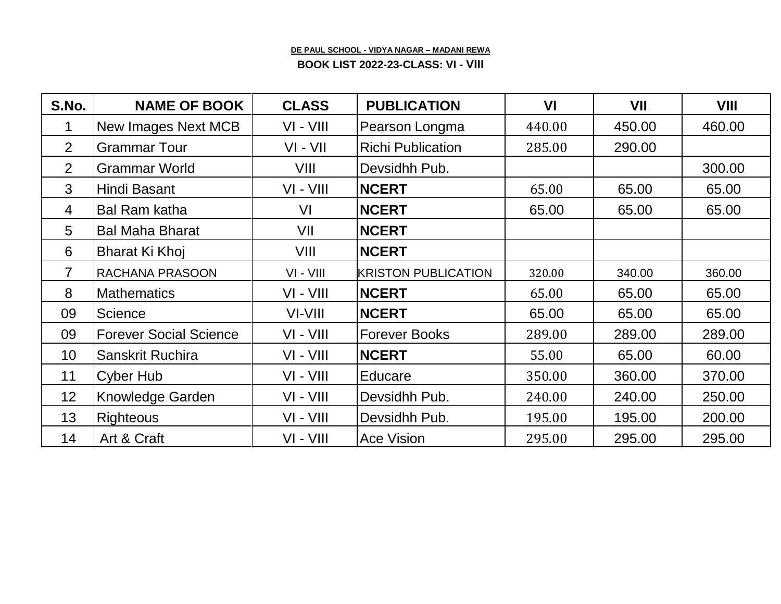#### **DE PAUL SCHOOL - VIDYA NAGAR – MADANI REWA**

**BOOK LIST 2022-23-CLASS: VI - VIII**

| S.No.          | <b>NAME OF BOOK</b>           | <b>CLASS</b> | <b>PUBLICATION</b>         | VI     | VII    | VIII   |
|----------------|-------------------------------|--------------|----------------------------|--------|--------|--------|
|                | New Images Next MCB           | VI - VIII    | Pearson Longma             | 440.00 | 450.00 | 460.00 |
| $\overline{2}$ | <b>Grammar Tour</b>           | $VI - VII$   | <b>Richi Publication</b>   | 285.00 | 290.00 |        |
| 2              | <b>Grammar World</b>          | VIII         | Devsidhh Pub.              |        |        | 300.00 |
| 3              | Hindi Basant                  | VI - VIII    | <b>NCERT</b>               | 65.00  | 65.00  | 65.00  |
| 4              | <b>Bal Ram katha</b>          | VI           | <b>NCERT</b>               | 65.00  | 65.00  | 65.00  |
| 5              | <b>Bal Maha Bharat</b>        | VII          | <b>NCERT</b>               |        |        |        |
| 6              | Bharat Ki Khoj                | VIII         | <b>NCERT</b>               |        |        |        |
| 7              | RACHANA PRASOON               | $VI - VIII$  | <b>KRISTON PUBLICATION</b> | 320.00 | 340.00 | 360.00 |
| 8              | <b>Mathematics</b>            | VI - VIII    | <b>NCERT</b>               | 65.00  | 65.00  | 65.00  |
| 09             | <b>Science</b>                | VI-VIII      | <b>NCERT</b>               | 65.00  | 65.00  | 65.00  |
| 09             | <b>Forever Social Science</b> | VI - VIII    | <b>Forever Books</b>       | 289.00 | 289.00 | 289.00 |
| 10             | Sanskrit Ruchira              | VI - VIII    | <b>NCERT</b>               | 55.00  | 65.00  | 60.00  |
| 11             | Cyber Hub                     | VI - VIII    | Educare                    | 350.00 | 360.00 | 370.00 |
| 12             | <b>Knowledge Garden</b>       | $VI - VIII$  | Devsidhh Pub.              | 240.00 | 240.00 | 250.00 |
| 13             | Righteous                     | $VI - VIII$  | Devsidhh Pub.              | 195.00 | 195.00 | 200.00 |
| 14             | Art & Craft                   | VI - VIII    | <b>Ace Vision</b>          | 295.00 | 295.00 | 295.00 |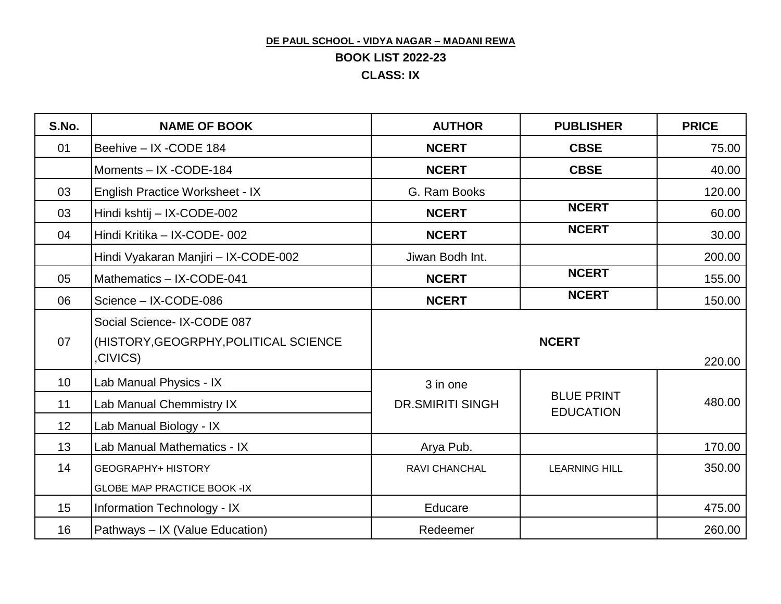## **DE PAUL SCHOOL - VIDYA NAGAR – MADANI REWA BOOK LIST 2022-23 CLASS: IX**

| S.No.           | <b>NAME OF BOOK</b>                                                             | <b>AUTHOR</b>           | <b>PUBLISHER</b>     | <b>PRICE</b> |
|-----------------|---------------------------------------------------------------------------------|-------------------------|----------------------|--------------|
| 01              | Beehive - IX -CODE 184                                                          | <b>NCERT</b>            | <b>CBSE</b>          | 75.00        |
|                 | Moments - IX -CODE-184                                                          | <b>NCERT</b>            | <b>CBSE</b>          | 40.00        |
| 03              | English Practice Worksheet - IX                                                 | G. Ram Books            |                      | 120.00       |
| 03              | Hindi kshtij - IX-CODE-002                                                      | <b>NCERT</b>            | <b>NCERT</b>         | 60.00        |
| 04              | Hindi Kritika - IX-CODE-002                                                     | <b>NCERT</b>            | <b>NCERT</b>         | 30.00        |
|                 | Hindi Vyakaran Manjiri - IX-CODE-002                                            | Jiwan Bodh Int.         |                      | 200.00       |
| 05              | Mathematics - IX-CODE-041                                                       | <b>NCERT</b>            | <b>NCERT</b>         | 155.00       |
| 06              | Science - IX-CODE-086                                                           | <b>NCERT</b>            | <b>NCERT</b>         | 150.00       |
| 07              | Social Science- IX-CODE 087<br>(HISTORY, GEOGRPHY, POLITICAL SCIENCE<br>CIVICS) |                         | <b>NCERT</b>         | 220.00       |
| 10 <sup>1</sup> | Lab Manual Physics - IX                                                         | 3 in one                |                      |              |
| 11              | Lab Manual Chemmistry IX                                                        | <b>DR.SMIRITI SINGH</b> | <b>BLUE PRINT</b>    | 480.00       |
| 12              | Lab Manual Biology - IX                                                         |                         | <b>EDUCATION</b>     |              |
| 13              | Lab Manual Mathematics - IX                                                     | Arya Pub.               |                      | 170.00       |
| 14              | <b>GEOGRAPHY+ HISTORY</b><br><b>GLOBE MAP PRACTICE BOOK -IX</b>                 | RAVI CHANCHAL           | <b>LEARNING HILL</b> | 350.00       |
| 15              | Information Technology - IX                                                     | Educare                 |                      | 475.00       |
| 16              | Pathways - IX (Value Education)                                                 | Redeemer                |                      | 260.00       |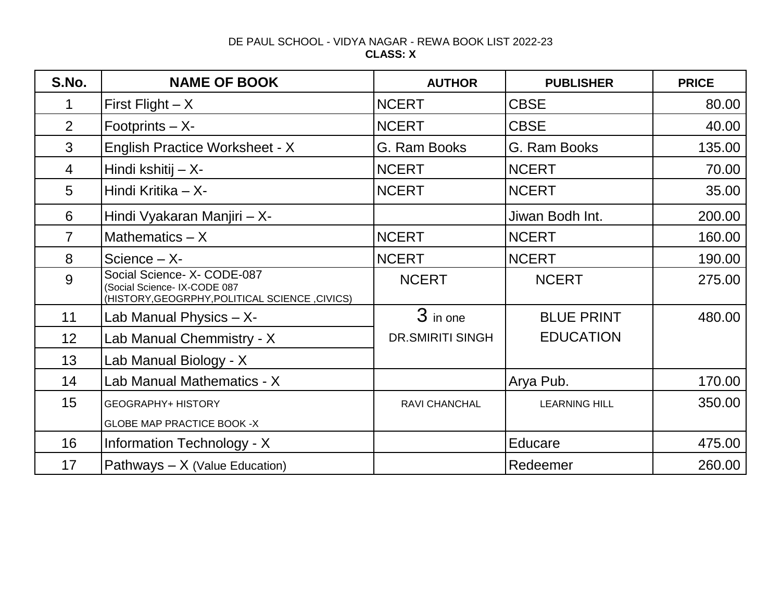### DE PAUL SCHOOL - VIDYA NAGAR - REWA BOOK LIST 2022-23 **CLASS: X**

| S.No.          | <b>NAME OF BOOK</b>                                                                                          | <b>AUTHOR</b>           | <b>PUBLISHER</b>     | <b>PRICE</b> |
|----------------|--------------------------------------------------------------------------------------------------------------|-------------------------|----------------------|--------------|
| 1              | First Flight $- X$                                                                                           | <b>NCERT</b>            | <b>CBSE</b>          | 80.00        |
| 2              | Footprints $- X$ -                                                                                           | <b>NCERT</b>            | <b>CBSE</b>          | 40.00        |
| 3              | English Practice Worksheet - X                                                                               | G. Ram Books            | G. Ram Books         | 135.00       |
| $\overline{4}$ | Hindi kshitij - X-                                                                                           | <b>NCERT</b>            | <b>NCERT</b>         | 70.00        |
| 5              | Hindi Kritika - X-                                                                                           | <b>NCERT</b>            | <b>NCERT</b>         | 35.00        |
| 6              | Hindi Vyakaran Manjiri - X-                                                                                  |                         | Jiwan Bodh Int.      | 200.00       |
| $\overline{7}$ | Mathematics $- X$                                                                                            | <b>NCERT</b>            | <b>NCERT</b>         | 160.00       |
| 8              | Science $- X$ -                                                                                              | <b>NCERT</b>            | <b>NCERT</b>         | 190.00       |
| 9              | Social Science- X- CODE-087<br>Social Science- IX-CODE 087<br>(HISTORY, GEOGRPHY, POLITICAL SCIENCE, CIVICS) | <b>NCERT</b>            | <b>NCERT</b>         | 275.00       |
| 11             | Lab Manual Physics $- X$ -                                                                                   | 3 in one                | <b>BLUE PRINT</b>    | 480.00       |
| 12             | Lab Manual Chemmistry - X                                                                                    | <b>DR.SMIRITI SINGH</b> | <b>EDUCATION</b>     |              |
| 13             | Lab Manual Biology - X                                                                                       |                         |                      |              |
| 14             | Lab Manual Mathematics - X                                                                                   |                         | Arya Pub.            | 170.00       |
| 15             | <b>GEOGRAPHY+ HISTORY</b>                                                                                    | RAVI CHANCHAL           | <b>LEARNING HILL</b> | 350.00       |
|                | <b>GLOBE MAP PRACTICE BOOK -X</b>                                                                            |                         |                      |              |
| 16             | Information Technology - X                                                                                   |                         | Educare              | 475.00       |
| 17             | Pathways $- X$ (Value Education)                                                                             |                         | Redeemer             | 260.00       |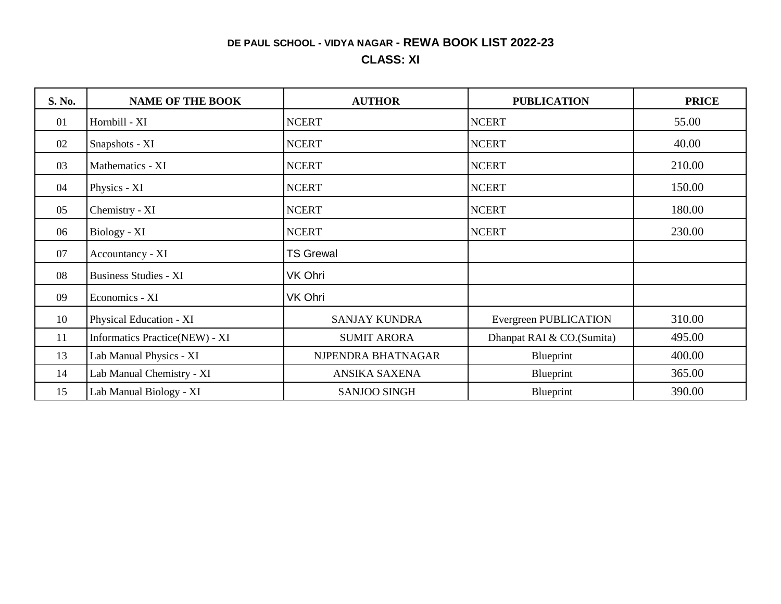## **DE PAUL SCHOOL - VIDYA NAGAR - REWA BOOK LIST 2022-23**

## **CLASS: XI**

| S. No. | <b>NAME OF THE BOOK</b>        | <b>AUTHOR</b>        | <b>PUBLICATION</b>           | <b>PRICE</b> |
|--------|--------------------------------|----------------------|------------------------------|--------------|
| 01     | Hornbill - XI                  | <b>NCERT</b>         | <b>NCERT</b>                 | 55.00        |
| 02     | Snapshots - XI                 | <b>NCERT</b>         | <b>NCERT</b>                 | 40.00        |
| 03     | Mathematics - XI               | <b>NCERT</b>         | <b>NCERT</b>                 | 210.00       |
| 04     | Physics - XI                   | <b>NCERT</b>         | <b>NCERT</b>                 | 150.00       |
| 05     | Chemistry - XI                 | <b>NCERT</b>         | <b>NCERT</b>                 | 180.00       |
| 06     | Biology - XI                   | <b>NCERT</b>         | <b>NCERT</b>                 | 230.00       |
| 07     | Accountancy - XI               | <b>TS Grewal</b>     |                              |              |
| 08     | <b>Business Studies - XI</b>   | VK Ohri              |                              |              |
| 09     | Economics - XI                 | VK Ohri              |                              |              |
| 10     | Physical Education - XI        | <b>SANJAY KUNDRA</b> | <b>Evergreen PUBLICATION</b> | 310.00       |
| 11     | Informatics Practice(NEW) - XI | <b>SUMIT ARORA</b>   | Dhanpat RAI & CO.(Sumita)    | 495.00       |
| 13     | Lab Manual Physics - XI        | NJPENDRA BHATNAGAR   | Blueprint                    | 400.00       |
| 14     | Lab Manual Chemistry - XI      | ANSIKA SAXENA        | Blueprint                    | 365.00       |
| 15     | Lab Manual Biology - XI        | <b>SANJOO SINGH</b>  | Blueprint                    | 390.00       |